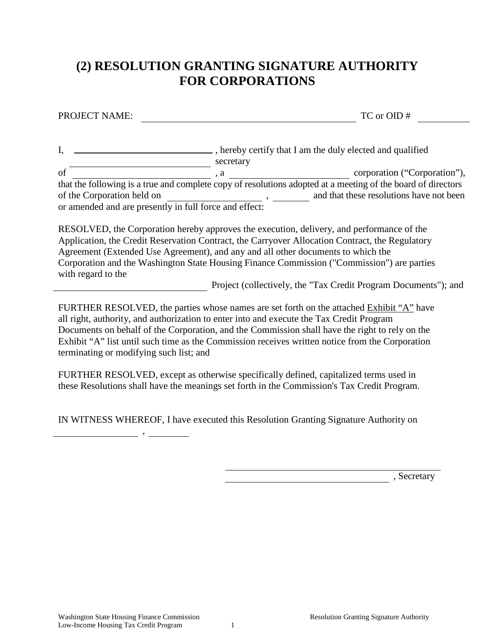## **(2) RESOLUTION GRANTING SIGNATURE AUTHORITY FOR CORPORATIONS**

PROJECT NAME: TC or OID #

I, \_\_\_\_\_\_\_\_\_\_\_\_\_\_\_\_\_\_\_\_\_\_\_\_\_\_\_\_\_\_\_\_\_, hereby certify that I am the duly elected and qualified secretary secretary of , a corporation ("Corporation"), that the following is a true and complete copy of resolutions adopted at a meeting of the board of directors of the Corporation held on  $\blacksquare$ , and that these resolutions have not been or amended and are presently in full force and effect:

RESOLVED, the Corporation hereby approves the execution, delivery, and performance of the Application, the Credit Reservation Contract, the Carryover Allocation Contract, the Regulatory Agreement (Extended Use Agreement), and any and all other documents to which the Corporation and the Washington State Housing Finance Commission ("Commission") are parties with regard to the

Project (collectively, the "Tax Credit Program Documents"); and

FURTHER RESOLVED, the parties whose names are set forth on the attached Exhibit "A" have all right, authority, and authorization to enter into and execute the Tax Credit Program Documents on behalf of the Corporation, and the Commission shall have the right to rely on the Exhibit "A" list until such time as the Commission receives written notice from the Corporation terminating or modifying such list; and

FURTHER RESOLVED, except as otherwise specifically defined, capitalized terms used in these Resolutions shall have the meanings set forth in the Commission's Tax Credit Program.

IN WITNESS WHEREOF, I have executed this Resolution Granting Signature Authority on

,

 $S$ ecretary